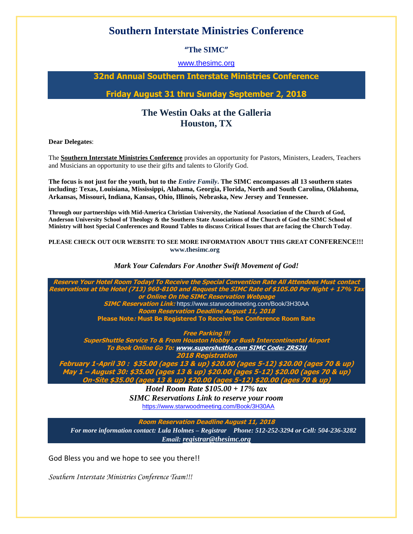# **Southern Interstate Ministries Conference**

## **"The SIMC"**

### [www.thesimc.org](http://www.thesimc.org/)

## **32nd Annual Southern Interstate Ministries Conference**

**Friday August 31 thru Sunday September 2, 2018**

## **The Westin Oaks at the Galleria Houston, TX**

**Dear Delegates**:

The **Southern Interstate Ministries Conference** provides an opportunity for Pastors, Ministers, Leaders, Teachers and Musicians an opportunity to use their gifts and talents to Glorify God.

**The focus is not just for the youth, but to the** *Entire Family***. The SIMC encompasses all 13 southern states including: Texas, Louisiana, Mississippi, Alabama, Georgia, Florida, North and South Carolina, Oklahoma, Arkansas, Missouri, Indiana, Kansas, Ohio, Illinois, Nebraska, New Jersey and Tennessee.**

**Through our partnerships with Mid-America Christian University, the National Association of the Church of God, Anderson University School of Theology & the Southern State Associations of the Church of God the SIMC School of Ministry will host Special Conferences and Round Tables to discuss Critical Issues that are facing the Church Today**.

#### **PLEASE CHECK OUT OUR WEBSITE TO SEE MORE INFORMATION ABOUT THIS GREAT CONFERENCE!!! www.thesimc.org**

#### *Mark Your Calendars For Another Swift Movement of God!*

**Reserve Your Hotel Room Today! To Receive the Special Convention Rate All Attendees Must contact Reservations at the Hotel (713) 960-8100 and Request the SIMC Rate of \$105.00 Per Night + 17% Tax or Online On the SIMC Reservation Webpage SIMC Reservation Link:** https://www.starwoodmeeting.com/Book/3H30AA **Room Reservation Deadline August 11, 2018 Please Note: Must Be Registered To Receive the Conference Room Rate**

**Free Parking !!!**

**SuperShuttle Service To & From Houston Hobby or Bush Intercontinental Airport To Book Online Go To: www.supershuttle.com SIMC Code: ZRS2U**

**2018 Registration**

**February 1-April 30 : \$35.00 (ages 13 & up) \$20.00 (ages 5-12) \$20.00 (ages 70 & up) May 1 – August 30: \$35.00 (ages 13 & up) \$20.00 (ages 5-12) \$20.00 (ages 70 & up) On-Site \$35.00 (ages 13 & up) \$20.00 (ages 5-12) \$20.00 (ages 70 & up)**

*Hotel Room Rate \$105.00 + 17% tax SIMC Reservations Link to reserve your room*  <https://www.starwoodmeeting.com/Book/3H30AA>

**Room Reservation Deadline August 11, 2018** 

 *For more information contact: Lula Holmes – Registrar Phone: 512-252-3294 or Cell: 504-236-3282* *Email: [registrar@thesimc.org](mailto:registrar@thesimc.org)*

God Bless you and we hope to see you there!!

*Southern Interstate Ministries Conference Team!!!*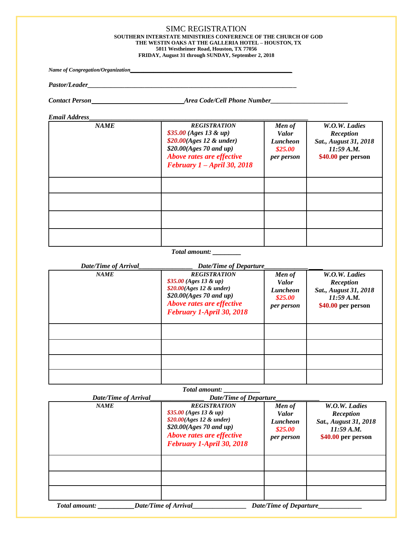#### SIMC REGISTRATION **SOUTHERN INTERSTATE MINISTRIES CONFERENCE OF THE CHURCH OF GOD THE WESTIN OAKS AT THE GALLERIA HOTEL – HOUSTON, TX 5011 Westheimer Road, Houston, TX 77056 FRIDAY, August 31 through SUNDAY, September 2, 2018**

*Name of Congregation/Organization\_\_\_\_\_\_\_\_\_\_\_\_\_\_\_\_\_\_\_\_\_\_\_\_\_\_\_\_\_\_\_\_\_\_\_\_\_\_\_\_\_\_\_\_\_\_\_\_*

*Pastor/Leader\_\_\_\_\_\_\_\_\_\_\_\_\_\_\_\_\_\_\_\_\_\_\_\_\_\_\_\_\_\_\_\_\_\_\_\_\_\_\_\_\_\_\_\_\_\_\_\_\_\_\_\_\_\_\_\_\_\_\_\_\_\_*

 $\emph{Concat Person}\_\_\_\_\_\_\_\_\_\_\_\_$ 

*Email Address***\_\_\_\_\_\_\_\_\_\_\_\_\_\_\_\_\_\_\_\_\_\_\_\_\_\_\_\_\_\_\_\_\_\_\_\_\_\_\_\_\_\_\_\_\_\_\_\_\_\_\_\_\_\_\_\_\_\_\_**

| <b>NAME</b> | <b>REGISTRATION</b><br>$$35.00 (Ages 13 \& up)$<br>\$20.00(Ages 12 & under)<br>\$20.00(Ages~70~and~up)<br>Above rates are effective<br>February $1 - April 30, 2018$ | Men of<br><b>Valor</b><br><b>Luncheon</b><br>\$25.00<br>per person | W.O.W. Ladies<br>Reception<br>Sat., August 31, 2018<br>11:59 A.M.<br>\$40.00 per person |
|-------------|----------------------------------------------------------------------------------------------------------------------------------------------------------------------|--------------------------------------------------------------------|-----------------------------------------------------------------------------------------|
|             |                                                                                                                                                                      |                                                                    |                                                                                         |
|             |                                                                                                                                                                      |                                                                    |                                                                                         |
|             |                                                                                                                                                                      |                                                                    |                                                                                         |
|             |                                                                                                                                                                      |                                                                    |                                                                                         |

#### *Total amount: \_\_\_\_\_\_\_*

| Date/Time of Arrival | <b>Date/Time of Departure</b>                                                                                                                                       |                                                                           |                                                                                         |
|----------------------|---------------------------------------------------------------------------------------------------------------------------------------------------------------------|---------------------------------------------------------------------------|-----------------------------------------------------------------------------------------|
| <b>NAME</b>          | <b>REGISTRATION</b><br>$$35.00 (Ages 13 \& up)$<br>$$20.00(Ages\ 12 \& under)$<br>\$20.00(Ages~70 and up)<br>Above rates are effective<br>February 1-April 30, 2018 | Men of<br><b>Valor</b><br><b>Luncheon</b><br>\$25.00<br><i>per person</i> | W.O.W. Ladies<br>Reception<br>Sat., August 31, 2018<br>11:59 A.M.<br>\$40.00 per person |
|                      |                                                                                                                                                                     |                                                                           |                                                                                         |
|                      |                                                                                                                                                                     |                                                                           |                                                                                         |
|                      |                                                                                                                                                                     |                                                                           |                                                                                         |
|                      |                                                                                                                                                                     |                                                                           |                                                                                         |

|                      | <b>Total amount:</b>                                                                                                                                                  |                                                                           |                                                                                         |
|----------------------|-----------------------------------------------------------------------------------------------------------------------------------------------------------------------|---------------------------------------------------------------------------|-----------------------------------------------------------------------------------------|
| Date/Time of Arrival | <b>Date/Time of Departure</b>                                                                                                                                         |                                                                           |                                                                                         |
| <b>NAME</b>          | <b>REGISTRATION</b><br>\$35.00 (Ages 13 & up)<br>$$20.00(Ages\ 12 \& under)$<br>$$20.00(Ages\ 70\ and\ up)$<br>Above rates are effective<br>February 1-April 30, 2018 | Men of<br><b>Valor</b><br><b>Luncheon</b><br>\$25.00<br><i>per person</i> | W.O.W. Ladies<br>Reception<br>Sat., August 31, 2018<br>11:59 A.M.<br>\$40.00 per person |
|                      |                                                                                                                                                                       |                                                                           |                                                                                         |
|                      |                                                                                                                                                                       |                                                                           |                                                                                         |
|                      |                                                                                                                                                                       |                                                                           |                                                                                         |
| <b>Total amount:</b> | <b>Date/Time of Arrival</b>                                                                                                                                           | <b>Date/Time of Departure</b>                                             |                                                                                         |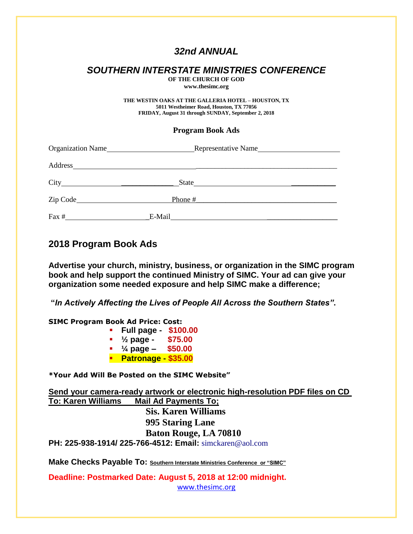# *32nd ANNUAL*

# *SOUTHERN INTERSTATE MINISTRIES CONFERENCE*

**OF THE CHURCH OF GOD www.thesimc.org**

**THE WESTIN OAKS AT THE GALLERIA HOTEL – HOUSTON, TX 5011 Westheimer Road, Houston, TX 77056 FRIDAY, August 31 through SUNDAY, September 2, 2018**

## **Program Book Ads**

| Organization Name |                                                                                                                                                                                                                                               | Representative Name |  |
|-------------------|-----------------------------------------------------------------------------------------------------------------------------------------------------------------------------------------------------------------------------------------------|---------------------|--|
| Address           | <u> 1980 - Jan Sterling von Berling von Berling von Berling von Berling von Berling von Berling von Berling von B</u>                                                                                                                         |                     |  |
|                   | State<br><u>and the company of the company of the company of the company of the company of the company of the company of the company of the company of the company of the company of the company of the company of the company of the com</u> |                     |  |
|                   | Phone #                                                                                                                                                                                                                                       |                     |  |
| Fax #             | E-Mail                                                                                                                                                                                                                                        |                     |  |

## **2018 Program Book Ads**

**Advertise your church, ministry, business, or organization in the SIMC program book and help support the continued Ministry of SIMC. Your ad can give your organization some needed exposure and help SIMC make a difference;**

**"***In Actively Affecting the Lives of People All Across the Southern States"***.**

**SIMC Program Book Ad Price: Cost: Full page - \$100.00 ½ page - \$75.00 ¼ page – \$50.00 Patronage - \$35.00**

**\*Your Add Will Be Posted on the SIMC Website"**

**Send your camera-ready artwork or electronic high-resolution PDF files on CD To: Karen Williams Mail Ad Payments To; Sis. Karen Williams 995 Staring Lane Baton Rouge, LA 70810 PH: 225-938-1914/ 225-766-4512: Email:** simckaren@aol.com

**Make Checks Payable To: Southern Interstate Ministries Conference or "SIMC"**

**Deadline: Postmarked Date: August 5, 2018 at 12:00 midnight.** [www.thesimc.org](http://www.thesimc.org/)